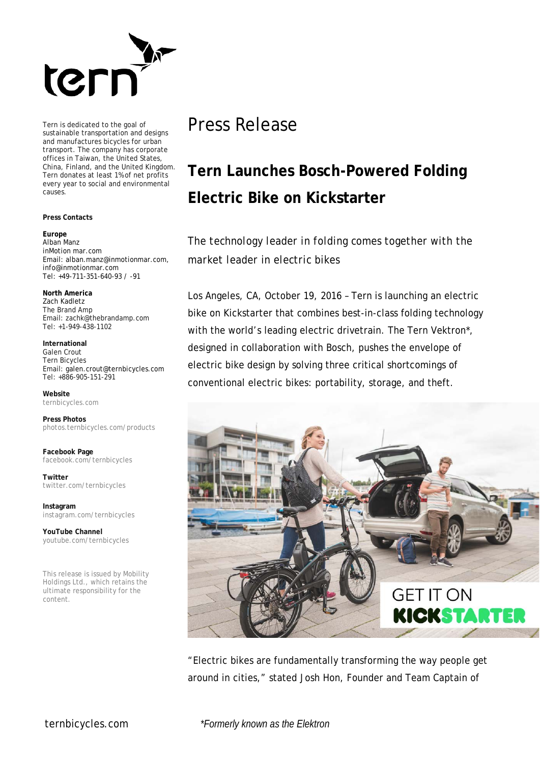

Tern is dedicated to the goal of sustainable transportation and designs and manufactures bicycles for urban transport. The company has corporate offices in Taiwan, the United States, China, Finland, and the United Kingdom. Tern donates at least 1% of net profits every year to social and environmental causes.

## **Press Contacts**

## **Europe** Alban Manz inMotion mar.com Email: alban.manz@inmotionmar.com, [info@inmotionmar.com](mailto:info@inmotionmar.com) Tel: +49-711-351-640-93 / -91

**North America**

Zach Kadletz The Brand Amp Email: zachk@thebrandamp.com Tel: +1-949-438-1102

**International** Galen Crout Tern Bicycles Email[: galen.crout@ternbicycles.com](mailto:galen.crout@ternbicycles.com) Tel: +886-905-151-291

**Website** [ternbicycles.com](http://www.ternbicycles.com/)

**Press Photos**  [photos.ternbicycles.com/products](http://photos.ternbicycles.com/products)

**Facebook Page** [facebook.com/ternbicycles](http://www.facebook.com/ternbicycles)

**Twitter** [twitter.com/ternbicycles](http://www.twitter.com/ternbicycles)

**Instagram** [instagram.com/ternbicycles](http://www.twitter.com/ternbicycles)

**YouTube Channel** [youtube.com/ternbicycles](http://www.youtube.com/ternbicycles)

This release is issued by Mobility Holdings Ltd., which retains the ultimate responsibility for the content.

## Press Release

## **Tern Launches Bosch-Powered Folding Electric Bike on Kickstarter**

*The technology leader in folding comes together with the market leader in electric bikes*

Los Angeles, CA, October 19, 2016 – Tern is launching an electric bike on Kickstarter that combines best-in-class folding technology with the world's leading electric drivetrain. The Tern Vektron\*, designed in collaboration with Bosch, pushes the envelope of electric bike design by solving three critical shortcomings of conventional electric bikes: portability, storage, and theft.



"Electric bikes are fundamentally transforming the way people get around in cities," stated Josh Hon, Founder and Team Captain of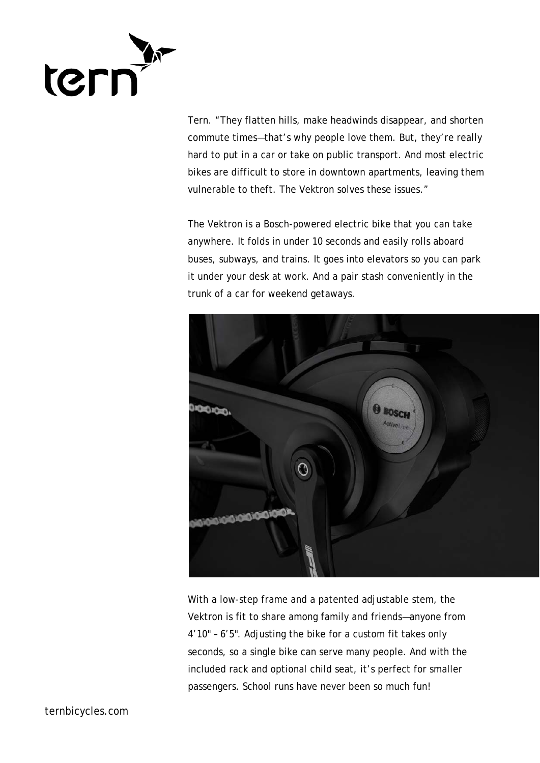

Tern. "They flatten hills, make headwinds disappear, and shorten commute times—that's why people love them. But, they're really hard to put in a car or take on public transport. And most electric bikes are difficult to store in downtown apartments, leaving them vulnerable to theft. The Vektron solves these issues."

The Vektron is a Bosch-powered electric bike that you can take anywhere. It folds in under 10 seconds and easily rolls aboard buses, subways, and trains. It goes into elevators so you can park it under your desk at work. And a pair stash conveniently in the trunk of a car for weekend getaways.



With a low-step frame and a patented adjustable stem, the Vektron is fit to share among family and friends—anyone from 4'10" – 6'5". Adjusting the bike for a custom fit takes only seconds, so a single bike can serve many people. And with the included rack and optional child seat, it's perfect for smaller passengers. School runs have never been so much fun!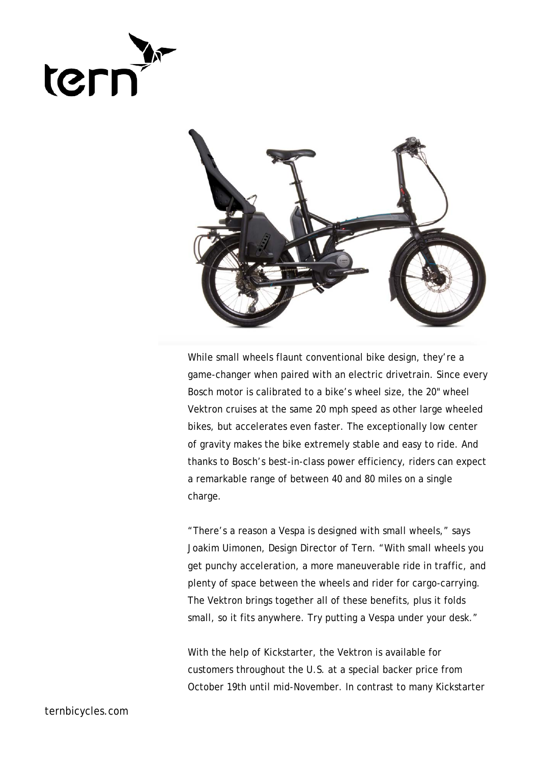



While small wheels flaunt conventional bike design, they're a game-changer when paired with an electric drivetrain. Since every Bosch motor is calibrated to a bike's wheel size, the 20" wheel Vektron cruises at the same 20 mph speed as other large wheeled bikes, but accelerates even faster. The exceptionally low center of gravity makes the bike extremely stable and easy to ride. And thanks to Bosch's best-in-class power efficiency, riders can expect a remarkable range of between 40 and 80 miles on a single charge.

"There's a reason a Vespa is designed with small wheels," says Joakim Uimonen, Design Director of Tern. "With small wheels you get punchy acceleration, a more maneuverable ride in traffic, and plenty of space between the wheels and rider for cargo-carrying. The Vektron brings together all of these benefits, plus it folds small, so it fits anywhere. Try putting a Vespa under your desk."

With the help of Kickstarter, the Vektron is available for customers throughout the U.S. at a special backer price from October 19th until mid-November. In contrast to many Kickstarter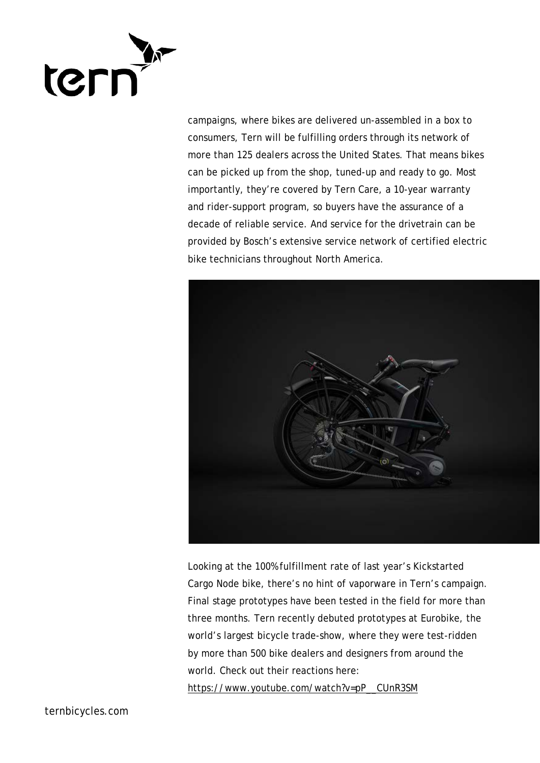

campaigns, where bikes are delivered un-assembled in a box to consumers, Tern will be fulfilling orders through its network of more than 125 dealers across the United States. That means bikes can be picked up from the shop, tuned-up and ready to go. Most importantly, they're covered by Tern Care, a 10-year warranty and rider-support program, so buyers have the assurance of a decade of reliable service. And service for the drivetrain can be provided by Bosch's extensive service network of certified electric bike technicians throughout North America.



Looking at the 100% fulfillment rate of last year's Kickstarted Cargo Node bike, there's no hint of vaporware in Tern's campaign. Final stage prototypes have been tested in the field for more than three months. Tern recently debuted prototypes at Eurobike, the world's largest bicycle trade-show, where they were test-ridden by more than 500 bike dealers and designers from around the world. Check out their reactions here:

[https://www.youtube.com/watch?v=pP\\_\\_CUnR3SM](https://www.youtube.com/watch?v=pP__CUnR3SM)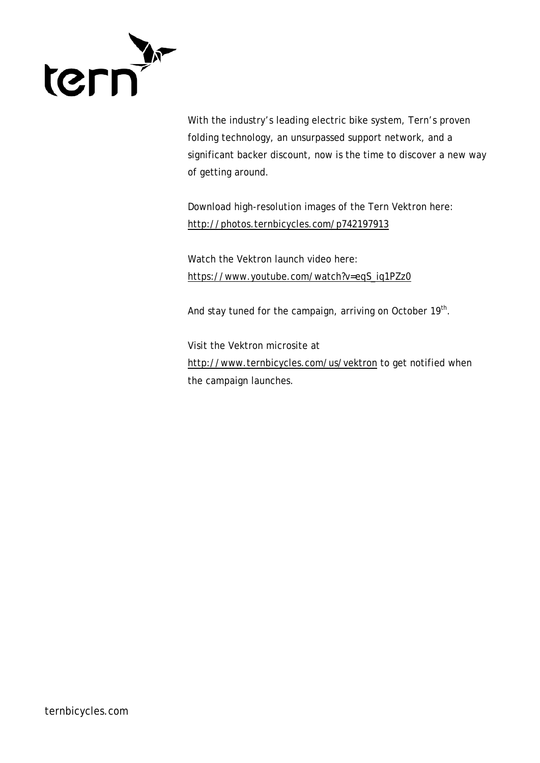

With the industry's leading electric bike system, Tern's proven folding technology, an unsurpassed support network, and a significant backer discount, now is the time to discover a new way of getting around.

Download high-resolution images of the Tern Vektron here: <http://photos.ternbicycles.com/p742197913>

Watch the Vektron launch video here: [https://www.youtube.com/watch?v=eqS\\_iq1PZz0](https://www.youtube.com/watch?v=eqS_iq1PZz0)

And stay tuned for the campaign, arriving on October 19<sup>th</sup>.

Visit the Vektron microsite at <http://www.ternbicycles.com/us/vektron> to get notified when the campaign launches.